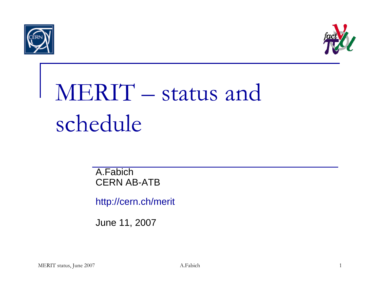



# MERIT – status and schedule

A.Fabich CERN AB-ATB

http://cern.ch/merit

June 11, 2007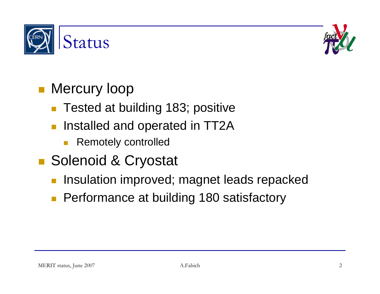



## **Nercury loop**

- Tested at building 183; positive
- Installed and operated in TT2A
	- $\mathcal{C}^{\mathcal{A}}$ Remotely controlled
- **Solenoid & Cryostat** 
	- Insulation improved; magnet leads repacked
	- **Performance at building 180 satisfactory**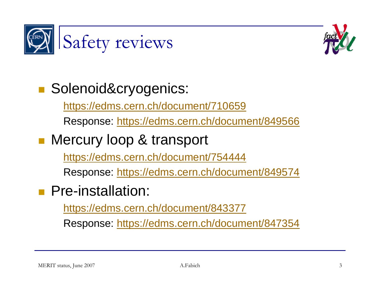



## Solenoid&cryogenics:

https://edms.cern.ch/document/710659

Response: https://edms.cern.ch/document/849566

### **Nercury loop & transport**

https://edms.cern.ch/document/754444

Response: https://edms.cern.ch/document/849574

### **Pre-installation:**

https://edms.cern.ch/document/843377

Response: https://edms.cern.ch/document/847354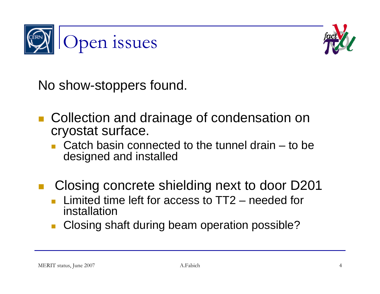



No show-stoppers found.

- **Collection and drainage of condensation on** cryostat surface.
	- $\blacksquare$  Catch basin connected to the tunnel drain  $-$  to be designed and installed
- $\mathcal{L}_{\mathcal{A}}$  Closing concrete shielding next to door D201
	- П Limited time left for access to TT2 – needed for installation
	- Closing shaft during beam operation possible?